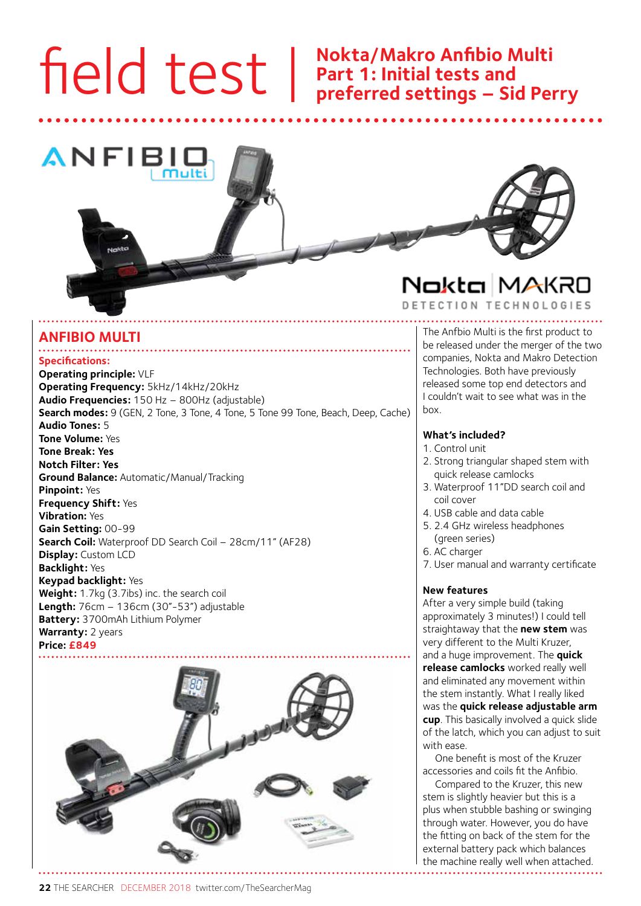# field test |

### **Nokta/Makro Anfibio Multi Part 1: Initial tests and preferred settings – Sid Perry**



#### **Specifications: Operating principle:** VLF **Operating Frequency:** 5kHz/14kHz/20kHz **Audio Frequencies:** 150 Hz – 800Hz (adjustable) **Search modes:** 9 (GEN, 2 Tone, 3 Tone, 4 Tone, 5 Tone 99 Tone, Beach, Deep, Cache) **Audio Tones:** 5 **Tone Volume:** Yes **Tone Break: Yes Notch Filter: Yes Ground Balance:** Automatic/Manual/Tracking **Pinpoint:** Yes **Frequency Shift:** Yes **Vibration:** Yes **Gain Setting:** 00-99 **Search Coil:** Waterproof DD Search Coil – 28cm/11" (AF28) **Display:** Custom LCD **Backlight:** Yes **Keypad backlight:** Yes **Weight:** 1.7kg (3.7ibs) inc. the search coil **Length:** 76cm – 136cm (30"-53") adjustable **Battery:** 3700mAh Lithium Polymer **Warranty:** 2 years **Price: £849 ANFIBIO MULTI**<br> **ANFIBIO MULTI The Anfbio Multi is the first product to**<br> **be released under the merger of the tw**



## Nokta MAKRO

DETECTION TECHNOLOGIES

be released under the merger of the two companies, Nokta and Makro Detection Technologies. Both have previously released some top end detectors and I couldn't wait to see what was in the box.

#### **What's included?**

- 1. Control unit
- 2. Strong triangular shaped stem with quick release camlocks
- 3. Waterproof 11"DD search coil and coil cover
- 4. USB cable and data cable
- 5. 2.4 GHz wireless headphones (green series)
- 6. AC charger
- 7. User manual and warranty certificate

#### **New features**

After a very simple build (taking approximately 3 minutes!) I could tell straightaway that the **new stem** was very different to the Multi Kruzer, and a huge improvement. The **quick release camlocks** worked really well and eliminated any movement within the stem instantly. What I really liked was the **quick release adjustable arm cup**. This basically involved a quick slide of the latch, which you can adjust to suit with ease.

One benefit is most of the Kruzer accessories and coils fit the Anfibio.

Compared to the Kruzer, this new stem is slightly heavier but this is a plus when stubble bashing or swinging through water. However, you do have the fitting on back of the stem for the external battery pack which balances the machine really well when attached.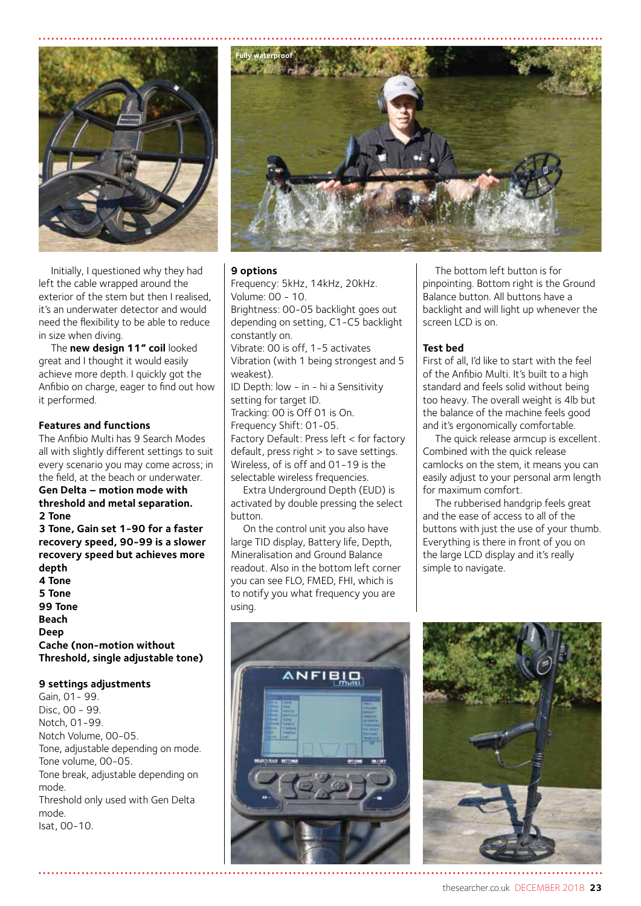

Initially, I questioned why they had left the cable wrapped around the exterior of the stem but then I realised, it's an underwater detector and would need the flexibility to be able to reduce in size when diving.

The **new design 11" coil** looked great and I thought it would easily achieve more depth. I quickly got the Anfibio on charge, eager to find out how it performed.

#### **Features and functions**

The Anfibio Multi has 9 Search Modes all with slightly different settings to suit every scenario you may come across; in the field, at the beach or underwater.

#### **Gen Delta – motion mode with threshold and metal separation. 2 Tone**

**3 Tone, Gain set 1-90 for a faster recovery speed, 90-99 is a slower recovery speed but achieves more depth 4 Tone 5 Tone 99 Tone Beach Deep Cache (non-motion without Threshold, single adjustable tone)**

#### **9 settings adjustments**

Gain, 01- 99. Disc, 00 - 99. Notch, 01-99. Notch Volume, 00-05. Tone, adjustable depending on mode. Tone volume, 00-05. Tone break, adjustable depending on mode. Threshold only used with Gen Delta mode. Isat, 00-10.



#### **9 options**

Frequency: 5kHz, 14kHz, 20kHz. Volume: 00 - 10. Brightness: 00-05 backlight goes out depending on setting, C1-C5 backlight constantly on. Vibrate: 00 is off, 1-5 activates Vibration (with 1 being strongest and 5 weakest). ID Depth: low - in - hi a Sensitivity setting for target ID. Tracking: 00 is Off 01 is On. Frequency Shift: 01-05. Factory Default: Press left < for factory default, press right > to save settings. Wireless, of is off and 01-19 is the selectable wireless frequencies.

Extra Underground Depth (EUD) is activated by double pressing the select button.

On the control unit you also have large TID display, Battery life, Depth, Mineralisation and Ground Balance readout. Also in the bottom left corner you can see FLO, FMED, FHI, which is to notify you what frequency you are using.

#### The bottom left button is for pinpointing. Bottom right is the Ground Balance button. All buttons have a backlight and will light up whenever the screen LCD is on.

#### **Test bed**

First of all, I'd like to start with the feel of the Anfibio Multi. It's built to a high standard and feels solid without being too heavy. The overall weight is 4lb but the balance of the machine feels good and it's ergonomically comfortable.

The quick release armcup is excellent. Combined with the quick release camlocks on the stem, it means you can easily adjust to your personal arm length for maximum comfort.

The rubberised handgrip feels great and the ease of access to all of the buttons with just the use of your thumb. Everything is there in front of you on the large LCD display and it's really simple to navigate.